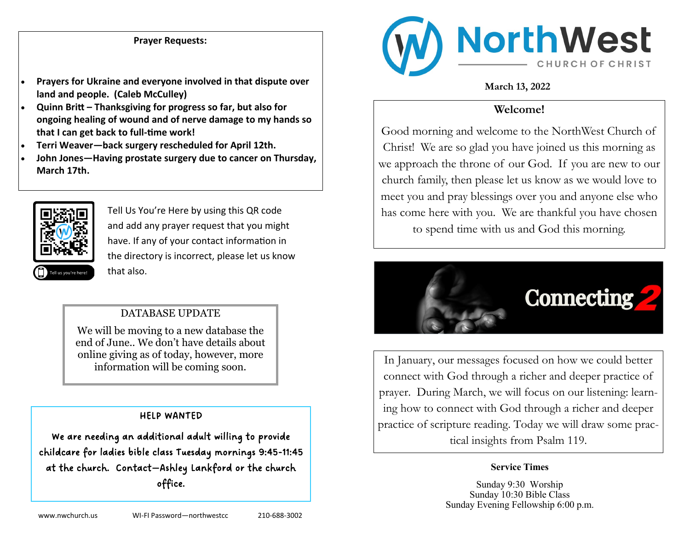## **Prayer Requests:**

- **Prayers for Ukraine and everyone involved in that dispute over land and people. (Caleb McCulley)**
- **Quinn Britt – Thanksgiving for progress so far, but also for ongoing healing of wound and of nerve damage to my hands so that I can get back to full-time work!**
- **Terri Weaver—back surgery rescheduled for April 12th.**
- **John Jones—Having prostate surgery due to cancer on Thursday, March 17th.**



Tell Us You're Here by using this QR code and add any prayer request that you might have. If any of your contact information in the directory is incorrect, please let us know that also.

## DATABASE UPDATE

We will be moving to a new database the end of June.. We don't have details about online giving as of today, however, more information will be coming soon.

#### HELP WANTED

We are needing an additional adult willing to provide childcare for ladies bible class Tuesday mornings 9:45-11:45 at the church. Contact—Ashley Lankford or the church office.



## **March 13, 2022**

# **Welcome!**

Good morning and welcome to the NorthWest Church of Christ! We are so glad you have joined us this morning as we approach the throne of our God. If you are new to our church family, then please let us know as we would love to meet you and pray blessings over you and anyone else who has come here with you. We are thankful you have chosen to spend time with us and God this morning.



In January, our messages focused on how we could better connect with God through a richer and deeper practice of prayer. During March, we will focus on our listening: learning how to connect with God through a richer and deeper practice of scripture reading. Today we will draw some practical insights from Psalm 119.

#### **Service Times**

Sunday 9:30 Worship Sunday 10:30 Bible Class Sunday Evening Fellowship 6:00 p.m.